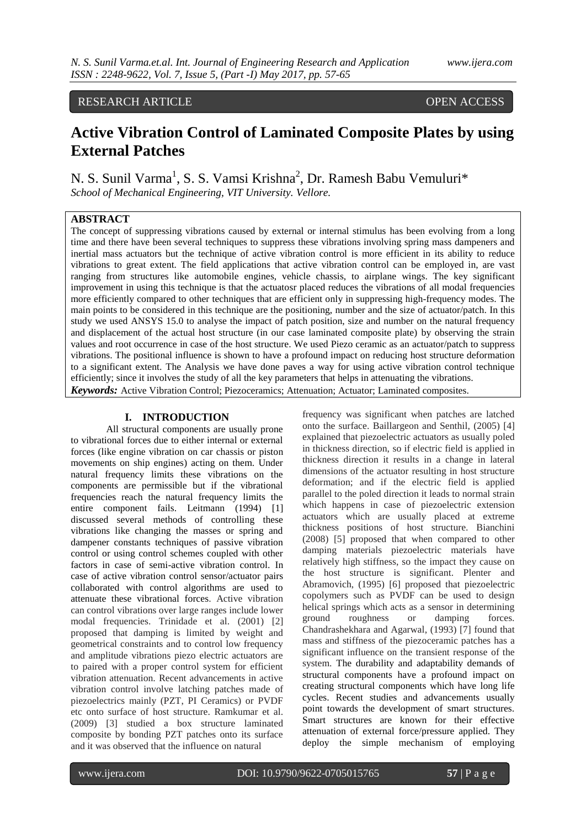# RESEARCH ARTICLE OPEN ACCESS

# **Active Vibration Control of Laminated Composite Plates by using External Patches**

N. S. Sunil Varma<sup>1</sup>, S. S. Vamsi Krishna<sup>2</sup>, Dr. Ramesh Babu Vemuluri\* *School of Mechanical Engineering, VIT University. Vellore.*

## **ABSTRACT**

The concept of suppressing vibrations caused by external or internal stimulus has been evolving from a long time and there have been several techniques to suppress these vibrations involving spring mass dampeners and inertial mass actuators but the technique of active vibration control is more efficient in its ability to reduce vibrations to great extent. The field applications that active vibration control can be employed in, are vast ranging from structures like automobile engines, vehicle chassis, to airplane wings. The key significant improvement in using this technique is that the actuatosr placed reduces the vibrations of all modal frequencies more efficiently compared to other techniques that are efficient only in suppressing high-frequency modes. The main points to be considered in this technique are the positioning, number and the size of actuator/patch. In this study we used ANSYS 15.0 to analyse the impact of patch position, size and number on the natural frequency and displacement of the actual host structure (in our case laminated composite plate) by observing the strain values and root occurrence in case of the host structure. We used Piezo ceramic as an actuator/patch to suppress vibrations. The positional influence is shown to have a profound impact on reducing host structure deformation to a significant extent. The Analysis we have done paves a way for using active vibration control technique efficiently; since it involves the study of all the key parameters that helps in attenuating the vibrations. *Keywords:* Active Vibration Control; Piezoceramics; Attenuation; Actuator; Laminated composites.

## **I. INTRODUCTION**

All structural components are usually prone to vibrational forces due to either internal or external forces (like engine vibration on car chassis or piston movements on ship engines) acting on them. Under natural frequency limits these vibrations on the components are permissible but if the vibrational frequencies reach the natural frequency limits the entire component fails. Leitmann (1994) [1] discussed several methods of controlling these vibrations like changing the masses or spring and dampener constants techniques of passive vibration control or using control schemes coupled with other factors in case of semi-active vibration control. In case of active vibration control sensor/actuator pairs collaborated with control algorithms are used to attenuate these vibrational forces. Active vibration can control vibrations over large ranges include lower modal frequencies. Trinidade et al. (2001) [2] proposed that damping is limited by weight and geometrical constraints and to control low frequency and amplitude vibrations piezo electric actuators are to paired with a proper control system for efficient vibration attenuation. Recent advancements in active vibration control involve latching patches made of piezoelectrics mainly (PZT, PI Ceramics) or PVDF etc onto surface of host structure. Ramkumar et al. (2009) [3] studied a box structure laminated composite by bonding PZT patches onto its surface and it was observed that the influence on natural

frequency was significant when patches are latched onto the surface. Baillargeon and Senthil, (2005) [4] explained that piezoelectric actuators as usually poled in thickness direction, so if electric field is applied in thickness direction it results in a change in lateral dimensions of the actuator resulting in host structure deformation; and if the electric field is applied parallel to the poled direction it leads to normal strain which happens in case of piezoelectric extension actuators which are usually placed at extreme thickness positions of host structure. Bianchini (2008) [5] proposed that when compared to other damping materials piezoelectric materials have relatively high stiffness, so the impact they cause on the host structure is significant. Plenter and Abramovich, (1995) [6] proposed that piezoelectric copolymers such as PVDF can be used to design helical springs which acts as a sensor in determining ground roughness or damping forces. Chandrashekhara and Agarwal, (1993) [7] found that mass and stiffness of the piezoceramic patches has a significant influence on the transient response of the system. The durability and adaptability demands of structural components have a profound impact on creating structural components which have long life cycles. Recent studies and advancements usually point towards the development of smart structures. Smart structures are known for their effective attenuation of external force/pressure applied. They deploy the simple mechanism of employing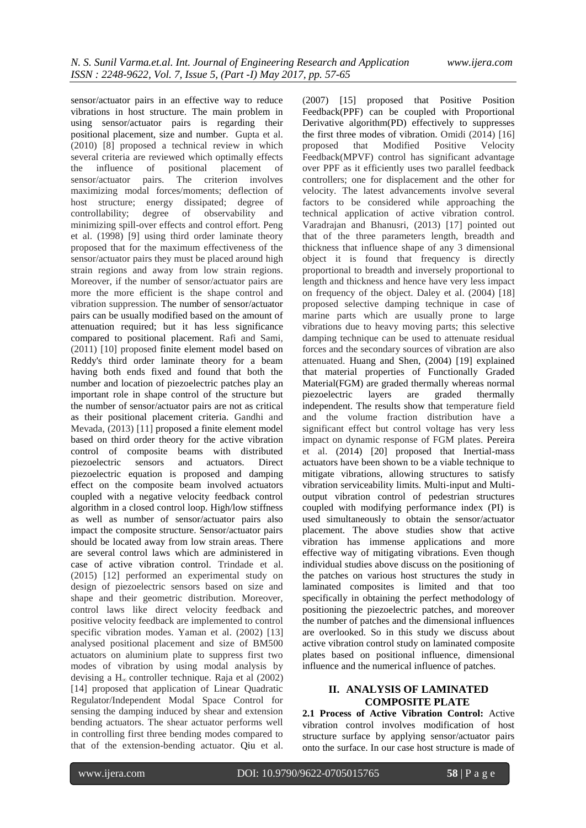sensor/actuator pairs in an effective way to reduce vibrations in host structure. The main problem in using sensor/actuator pairs is regarding their positional placement, size and number. Gupta et al. (2010) [8] proposed a technical review in which several criteria are reviewed which optimally effects the influence of positional placement of sensor/actuator pairs. The criterion involves maximizing modal forces/moments; deflection of host structure; energy dissipated; degree of controllability; degree of observability and minimizing spill-over effects and control effort. Peng et al. (1998) [9] using third order laminate theory proposed that for the maximum effectiveness of the sensor/actuator pairs they must be placed around high strain regions and away from low strain regions. Moreover, if the number of sensor/actuator pairs are more the more efficient is the shape control and vibration suppression. The number of sensor/actuator pairs can be usually modified based on the amount of attenuation required; but it has less significance compared to positional placement. Rafi and Sami, (2011) [10] proposed finite element model based on Reddy's third order laminate theory for a beam having both ends fixed and found that both the number and location of piezoelectric patches play an important role in shape control of the structure but the number of sensor/actuator pairs are not as critical as their positional placement criteria. Gandhi and Mevada, (2013) [11] proposed a finite element model based on third order theory for the active vibration control of composite beams with distributed piezoelectric sensors and actuators. Direct piezoelectric equation is proposed and damping effect on the composite beam involved actuators coupled with a negative velocity feedback control algorithm in a closed control loop. High/low stiffness as well as number of sensor/actuator pairs also impact the composite structure. Sensor/actuator pairs should be located away from low strain areas. There are several control laws which are administered in case of active vibration control. Trindade et al. (2015) [12] performed an experimental study on design of piezoelectric sensors based on size and shape and their geometric distribution. Moreover, control laws like direct velocity feedback and positive velocity feedback are implemented to control specific vibration modes. Yaman et al. (2002) [13] analysed positional placement and size of BM500 actuators on aluminium plate to suppress first two modes of vibration by using modal analysis by devising a  $H_{\infty}$  controller technique. Raja et al (2002) [14] proposed that application of Linear Quadratic Regulator/Independent Modal Space Control for sensing the damping induced by shear and extension bending actuators. The shear actuator performs well in controlling first three bending modes compared to that of the extension-bending actuator. Qiu et al.

(2007) [15] proposed that Positive Position Feedback(PPF) can be coupled with Proportional Derivative algorithm(PD) effectively to suppresses the first three modes of vibration. Omidi (2014) [16] proposed that Modified Positive Velocity Feedback(MPVF) control has significant advantage over PPF as it efficiently uses two parallel feedback controllers; one for displacement and the other for velocity. The latest advancements involve several factors to be considered while approaching the technical application of active vibration control. Varadrajan and Bhanusri, (2013) [17] pointed out that of the three parameters length, breadth and thickness that influence shape of any 3 dimensional object it is found that frequency is directly proportional to breadth and inversely proportional to length and thickness and hence have very less impact on frequency of the object. Daley et al. (2004) [18] proposed selective damping technique in case of marine parts which are usually prone to large vibrations due to heavy moving parts; this selective damping technique can be used to attenuate residual forces and the secondary sources of vibration are also attenuated. Huang and Shen, (2004) [19] explained that material properties of Functionally Graded Material(FGM) are graded thermally whereas normal piezoelectric layers are graded thermally independent. The results show that temperature field and the volume fraction distribution have a significant effect but control voltage has very less impact on dynamic response of FGM plates. Pereira et al. (2014) [20] proposed that Inertial-mass actuators have been shown to be a viable technique to mitigate vibrations, allowing structures to satisfy vibration serviceability limits. Multi-input and Multioutput vibration control of pedestrian structures coupled with modifying performance index (PI) is used simultaneously to obtain the sensor/actuator placement. The above studies show that active vibration has immense applications and more effective way of mitigating vibrations. Even though individual studies above discuss on the positioning of the patches on various host structures the study in laminated composites is limited and that too specifically in obtaining the perfect methodology of positioning the piezoelectric patches, and moreover the number of patches and the dimensional influences are overlooked. So in this study we discuss about active vibration control study on laminated composite plates based on positional influence, dimensional influence and the numerical influence of patches.

### **II. ANALYSIS OF LAMINATED COMPOSITE PLATE**

**2.1 Process of Active Vibration Control:** Active vibration control involves modification of host structure surface by applying sensor/actuator pairs onto the surface. In our case host structure is made of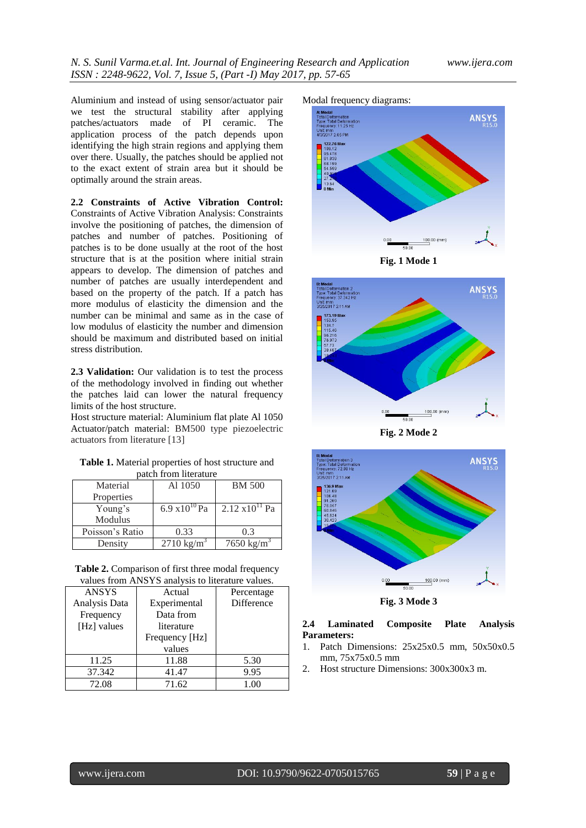Aluminium and instead of using sensor/actuator pair we test the structural stability after applying patches/actuators made of PI ceramic. The application process of the patch depends upon identifying the high strain regions and applying them over there. Usually, the patches should be applied not to the exact extent of strain area but it should be optimally around the strain areas.

**2.2 Constraints of Active Vibration Control:** Constraints of Active Vibration Analysis: Constraints involve the positioning of patches, the dimension of patches and number of patches. Positioning of patches is to be done usually at the root of the host structure that is at the position where initial strain appears to develop. The dimension of patches and number of patches are usually interdependent and based on the property of the patch. If a patch has more modulus of elasticity the dimension and the number can be minimal and same as in the case of low modulus of elasticity the number and dimension should be maximum and distributed based on initial stress distribution.

**2.3 Validation:** Our validation is to test the process of the methodology involved in finding out whether the patches laid can lower the natural frequency limits of the host structure.

Host structure material: Aluminium flat plate Al 1050 Actuator/patch material: BM500 type piezoelectric actuators from literature [13]

**Table 1.** Material properties of host structure and patch from literature

| расси понгистание |                         |                          |  |  |  |
|-------------------|-------------------------|--------------------------|--|--|--|
| Material          | Al 1050                 | <b>BM 500</b>            |  |  |  |
| Properties        |                         |                          |  |  |  |
| Young's           | $6.9 \times 10^{10}$ Pa | $2.12 \times 10^{11}$ Pa |  |  |  |
| Modulus           |                         |                          |  |  |  |
| Poisson's Ratio   | 0.33                    | 0.3                      |  |  |  |
| Density           | $2710 \text{ kg/m}^3$   | 7650 kg/m <sup>3</sup>   |  |  |  |

**Table 2.** Comparison of first three modal frequency values from ANSYS analysis to literature values.

| <b>ANSYS</b>  | Actual         | Percentage |  |  |  |  |
|---------------|----------------|------------|--|--|--|--|
| Analysis Data | Experimental   | Difference |  |  |  |  |
| Frequency     | Data from      |            |  |  |  |  |
| [Hz] values   | literature     |            |  |  |  |  |
|               | Frequency [Hz] |            |  |  |  |  |
|               | values         |            |  |  |  |  |
| 11.25         | 11.88          | 5.30       |  |  |  |  |
| 37.342        | 41.47          | 9.95       |  |  |  |  |
| 72.08         | 71.62          | 1.00       |  |  |  |  |









**Fig. 2 Mode 2**



**Fig. 3 Mode 3**

## **2.4 Laminated Composite Plate Analysis Parameters:**

- 1. Patch Dimensions: 25x25x0.5 mm, 50x50x0.5 mm, 75x75x0.5 mm
- 2. Host structure Dimensions: 300x300x3 m.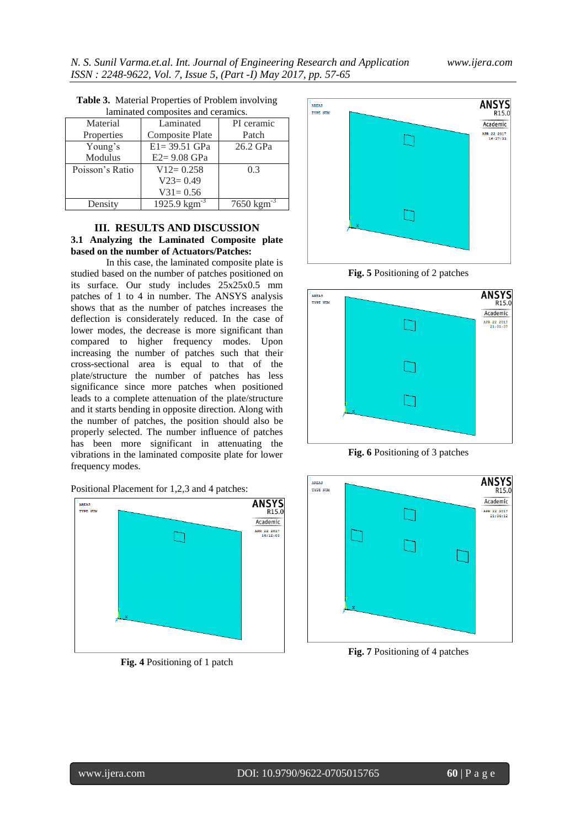| laminated composites and ceramics. |                          |                         |  |  |  |
|------------------------------------|--------------------------|-------------------------|--|--|--|
| Material                           | Laminated                | PI ceramic              |  |  |  |
| Properties                         | Composite Plate          | Patch                   |  |  |  |
| Young's                            | $E1 = 39.51$ GPa         | 26.2 GPa                |  |  |  |
| Modulus                            | $E2 = 9.08$ GPa          |                         |  |  |  |
| Poisson's Ratio                    | $V12 = 0.258$            | 0.3                     |  |  |  |
|                                    | $V23=0.49$               |                         |  |  |  |
|                                    | $V31 = 0.56$             |                         |  |  |  |
| Density                            | 1925.9 $\text{kgm}^{-3}$ | $7650 \text{ kgm}^{-3}$ |  |  |  |

**Table 3.** Material Properties of Problem involving

# **III. RESULTS AND DISCUSSION 3.1 Analyzing the Laminated Composite plate based on the number of Actuators/Patches:**

In this case, the laminated composite plate is studied based on the number of patches positioned on its surface. Our study includes 25x25x0.5 mm patches of 1 to 4 in number. The ANSYS analysis shows that as the number of patches increases the deflection is considerately reduced. In the case of lower modes, the decrease is more significant than compared to higher frequency modes. Upon increasing the number of patches such that their cross-sectional area is equal to that of the plate/structure the number of patches has less significance since more patches when positioned leads to a complete attenuation of the plate/structure and it starts bending in opposite direction. Along with the number of patches, the position should also be properly selected. The number influence of patches has been more significant in attenuating the vibrations in the laminated composite plate for lower frequency modes.





**Fig. 4** Positioning of 1 patch







**Fig. 6** Positioning of 3 patches



**Fig. 7** Positioning of 4 patches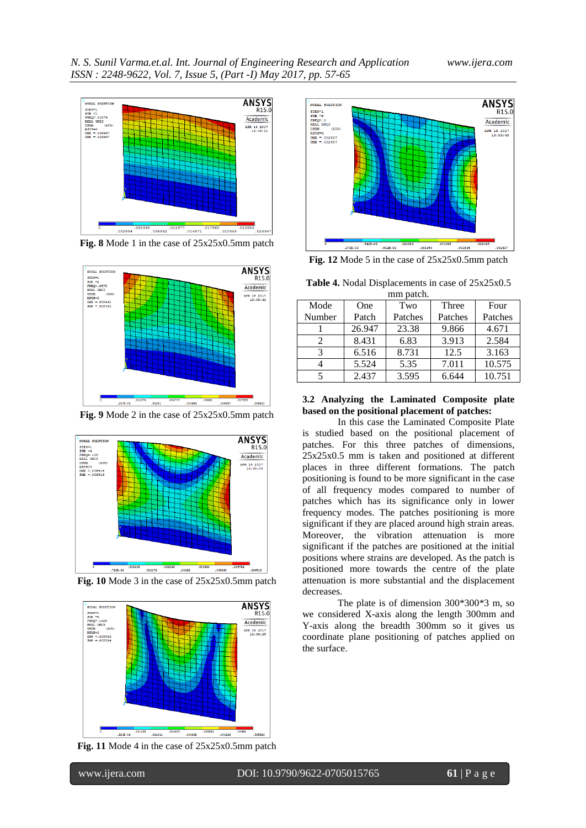

**Fig. 8** Mode 1 in the case of 25x25x0.5mm patch



**Fig. 9** Mode 2 in the case of 25x25x0.5mm patch



**Fig. 10** Mode 3 in the case of 25x25x0.5mm patch



**Fig. 11** Mode 4 in the case of 25x25x0.5mm patch



**Fig. 12** Mode 5 in the case of 25x25x0.5mm patch

**Table 4.** Nodal Displacements in case of 25x25x0.5

| mm patch.     |        |         |         |         |  |  |
|---------------|--------|---------|---------|---------|--|--|
| Mode          | One    | Two     | Three   | Four    |  |  |
| Number        | Patch  | Patches | Patches | Patches |  |  |
|               | 26.947 | 23.38   | 9.866   | 4.671   |  |  |
| $\mathcal{L}$ | 8.431  | 6.83    | 3.913   | 2.584   |  |  |
| 3             | 6.516  | 8.731   | 12.5    | 3.163   |  |  |
|               | 5.524  | 5.35    | 7.011   | 10.575  |  |  |
|               | 2.437  | 3.595   | 6.644   | 10.751  |  |  |

#### **3.2 Analyzing the Laminated Composite plate based on the positional placement of patches:**

In this case the Laminated Composite Plate is studied based on the positional placement of patches. For this three patches of dimensions, 25x25x0.5 mm is taken and positioned at different places in three different formations. The patch positioning is found to be more significant in the case of all frequency modes compared to number of patches which has its significance only in lower frequency modes. The patches positioning is more significant if they are placed around high strain areas. Moreover, the vibration attenuation is more significant if the patches are positioned at the initial positions where strains are developed. As the patch is positioned more towards the centre of the plate attenuation is more substantial and the displacement decreases.

The plate is of dimension 300\*300\*3 m, so we considered X-axis along the length 300mm and Y-axis along the breadth 300mm so it gives us coordinate plane positioning of patches applied on the surface.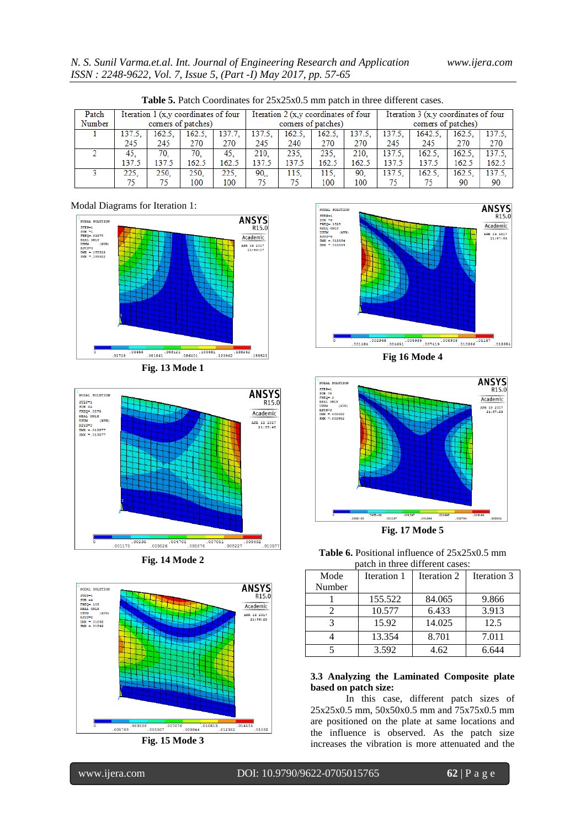| <b>Table 5.</b> Patch Coordinates for 23x23x0.3 min patch in three different cases. |                                      |                    |        |                                      |                    |        |                                      |                    |        |         |        |        |
|-------------------------------------------------------------------------------------|--------------------------------------|--------------------|--------|--------------------------------------|--------------------|--------|--------------------------------------|--------------------|--------|---------|--------|--------|
| Patch                                                                               | Iteration 1 (x,y coordinates of four |                    |        | Iteration 2 (x,y coordinates of four |                    |        | Iteration 3 (x,y coordinates of four |                    |        |         |        |        |
| Number                                                                              |                                      | comers of patches) |        |                                      | comers of patches) |        |                                      | comers of patches) |        |         |        |        |
|                                                                                     | 137.5.                               | 162.5.             | 162.5. | 137.7.                               | 137.5.             | 162.5. | 162.5.                               | 137.5.             | 137.5. | 1642.5. | 162.5. | 137.5. |
|                                                                                     | 245                                  | 245                | 270    | 270                                  | 245                | 240    | 270                                  | 270                | 245    | 245     | 270    | 270    |
|                                                                                     | 45.                                  | 70.                | 70.    | 45.                                  | 210.               | 235.   | 235.                                 | 210.               | 137.5. | 162.5.  | 162.5. | 137.5. |
|                                                                                     | 137.5                                | 137.5              | 162.5  | 162.5                                | 137.5              | 137.5  | 162.5                                | 162.5              | 137.5  | 137.5   | 162.5  | 162.5  |
|                                                                                     | 225.                                 | 250.               | 250.   | 225.                                 | 90.,               | 115.   | 115.                                 | 90.                | 137.5. | 162.5.  | 162.5. | 137.5. |
|                                                                                     | 75                                   |                    | 100    | 100                                  | 75                 | 75     | 100                                  | 100                | 75     | 75.     | 90     | 90     |

**Table 5.** Patch Coordinates for 25x25x0.5 mm patch in three different cases.

#### Modal Diagrams for Iteration 1:















ANSYS<br>R15.0 NODAL SOLUTION NODAL SOLUTIC<br>
STEP=1<br>
SUB =8<br>
FREQ=.2<br>
REAL ONLY<br>
NEXL ONLY<br>
USUM<br>
DAK =.003592<br>
SMK =.003592 Academic APR 19 2017<br>21:57:29 002395 001197 .001996 002794

**Fig. 17 Mode 5**

**Table 6.** Positional influence of 25x25x0.5 mm patch in three different cases:

| Mode   | Iteration 1 | Iteration 2 | Iteration 3 |
|--------|-------------|-------------|-------------|
| Number |             |             |             |
|        | 155.522     | 84.065      | 9.866       |
|        | 10.577      | 6.433       | 3.913       |
|        | 15.92       | 14.025      | 12.5        |
|        | 13.354      | 8.701       | 7.011       |
|        | 3.592       | 4.62        | 6 644       |

### **3.3 Analyzing the Laminated Composite plate based on patch size:**

In this case, different patch sizes of 25x25x0.5 mm, 50x50x0.5 mm and 75x75x0.5 mm are positioned on the plate at same locations and the influence is observed. As the patch size increases the vibration is more attenuated and the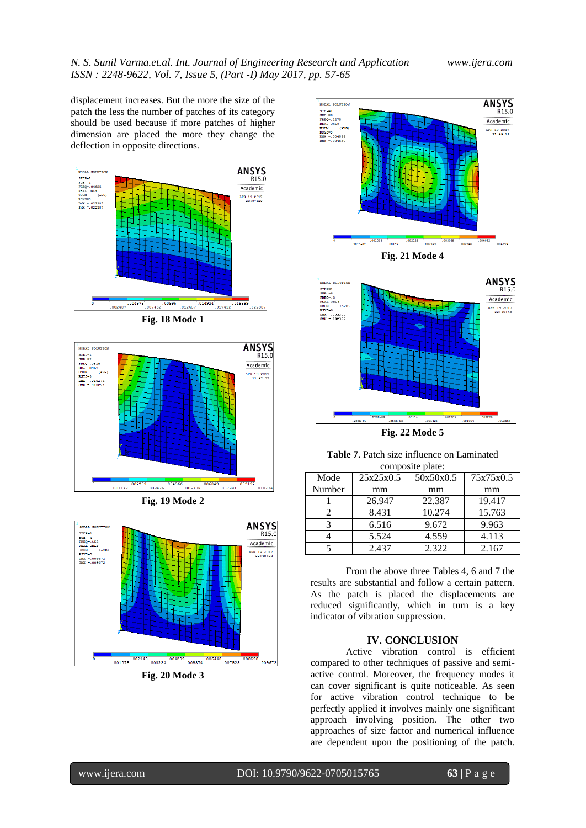displacement increases. But the more the size of the patch the less the number of patches of its category should be used because if more patches of higher dimension are placed the more they change the deflection in opposite directions.

















**Table 7.** Patch size influence on Laminated composite plate:

| composite plate. |           |           |           |  |  |  |
|------------------|-----------|-----------|-----------|--|--|--|
| Mode             | 25x25x0.5 | 50x50x0.5 | 75x75x0.5 |  |  |  |
| Number           | mm        | mm        | mm        |  |  |  |
|                  | 26.947    | 22.387    | 19.417    |  |  |  |
| 2                | 8.431     | 10.274    | 15.763    |  |  |  |
| 3                | 6.516     | 9.672     | 9.963     |  |  |  |
|                  | 5.524     | 4.559     | 4.113     |  |  |  |
|                  | 2.437     | 2.322     | 2.167     |  |  |  |

From the above three Tables 4, 6 and 7 the results are substantial and follow a certain pattern. As the patch is placed the displacements are reduced significantly, which in turn is a key indicator of vibration suppression.

# **IV. CONCLUSION**

Active vibration control is efficient compared to other techniques of passive and semiactive control. Moreover, the frequency modes it can cover significant is quite noticeable. As seen for active vibration control technique to be perfectly applied it involves mainly one significant approach involving position. The other two approaches of size factor and numerical influence are dependent upon the positioning of the patch.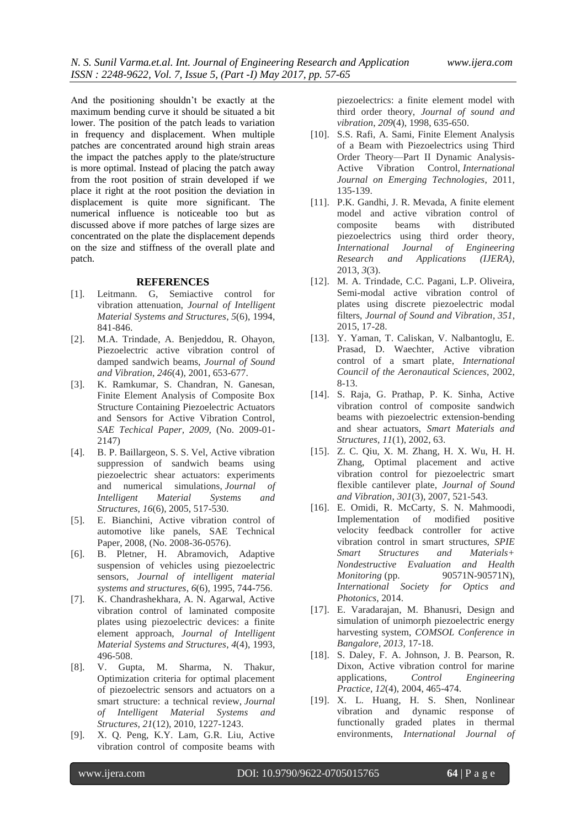And the positioning shouldn't be exactly at the maximum bending curve it should be situated a bit lower. The position of the patch leads to variation in frequency and displacement. When multiple patches are concentrated around high strain areas the impact the patches apply to the plate/structure is more optimal. Instead of placing the patch away from the root position of strain developed if we place it right at the root position the deviation in displacement is quite more significant. The numerical influence is noticeable too but as discussed above if more patches of large sizes are concentrated on the plate the displacement depends on the size and stiffness of the overall plate and patch.

#### **REFERENCES**

- [1]. Leitmann. G, Semiactive control for vibration attenuation, *Journal of Intelligent Material Systems and Structures*, *5*(6), 1994, 841-846.
- [2]. M.A. Trindade, A. Benjeddou, R. Ohayon, Piezoelectric active vibration control of damped sandwich beams, *Journal of Sound and Vibration*, *246*(4), 2001, 653-677.
- [3]. K. Ramkumar, S. Chandran, N. Ganesan, Finite Element Analysis of Composite Box Structure Containing Piezoelectric Actuators and Sensors for Active Vibration Control*, SAE Techical Paper, 2009,* (No. 2009-01- 2147)
- [4]. B. P. Baillargeon, S. S. Vel, Active vibration suppression of sandwich beams using piezoelectric shear actuators: experiments and numerical simulations, *Journal of Intelligent Material Systems and Structures*, *16*(6), 2005, 517-530.
- [5]. E. Bianchini, Active vibration control of automotive like panels, SAE Technical Paper, 2008, (No. 2008-36-0576).
- [6]. B. Pletner, H. Abramovich, Adaptive suspension of vehicles using piezoelectric sensors, *Journal of intelligent material systems and structures*, *6*(6), 1995, 744-756.
- [7]. K. Chandrashekhara, A. N. Agarwal, Active vibration control of laminated composite plates using piezoelectric devices: a finite element approach, *Journal of Intelligent Material Systems and Structures*, *4*(4), 1993, 496-508.
- [8]. V. Gupta, M. Sharma, N. Thakur, Optimization criteria for optimal placement of piezoelectric sensors and actuators on a smart structure: a technical review, *Journal of Intelligent Material Systems and Structures*, *21*(12), 2010, 1227-1243.
- [9]. X. Q. Peng, K.Y. Lam, G.R. Liu, Active vibration control of composite beams with

piezoelectrics: a finite element model with third order theory, *Journal of sound and vibration*, *209*(4), 1998, 635-650.

- [10]. S.S. Rafi, A. Sami, Finite Element Analysis of a Beam with Piezoelectrics using Third Order Theory—Part II Dynamic Analysis-Active Vibration Control, *International Journal on Emerging Technologies*, 2011, 135-139.
- [11]. P.K. Gandhi, J. R. Mevada, A finite element model and active vibration control of composite beams with distributed piezoelectrics using third order theory, *International Journal of Engineering Research and Applications (IJERA)*, 2013, *3*(3).
- [12]. M. A. Trindade, C.C. Pagani, L.P. Oliveira, Semi-modal active vibration control of plates using discrete piezoelectric modal filters, *Journal of Sound and Vibration*, *351*, 2015, 17-28.
- [13]. Y. Yaman, T. Caliskan, V. Nalbantoglu, E. Prasad, D. Waechter, Active vibration control of a smart plate, *International Council of the Aeronautical Sciences*, 2002, 8-13.
- [14]. S. Raja, G. Prathap, P. K. Sinha, Active vibration control of composite sandwich beams with piezoelectric extension-bending and shear actuators, *Smart Materials and Structures*, *11*(1), 2002, 63.
- [15]. Z. C. Qiu, X. M. Zhang, H. X. Wu, H. H. Zhang, Optimal placement and active vibration control for piezoelectric smart flexible cantilever plate, *Journal of Sound and Vibration*, *301*(3), 2007, 521-543.
- [16]. E. Omidi, R. McCarty, S. N. Mahmoodi, Implementation of modified positive velocity feedback controller for active vibration control in smart structures, *SPIE Smart Structures and Materials+ Nondestructive Evaluation and Health Monitoring* (pp. 90571N-90571N), *International Society for Optics and Photonics*, 2014.
- [17]. E. Varadarajan, M. Bhanusri, Design and simulation of unimorph piezoelectric energy harvesting system, *COMSOL Conference in Bangalore, 2013,* 17-18.
- [18]. S. Daley, F. A. Johnson, J. B. Pearson, R. Dixon, Active vibration control for marine applications, *Control Engineering Practice*, *12*(4), 2004, 465-474.
- [19]. X. L. Huang, H. S. Shen, Nonlinear vibration and dynamic response of functionally graded plates in thermal environments, *International Journal of*